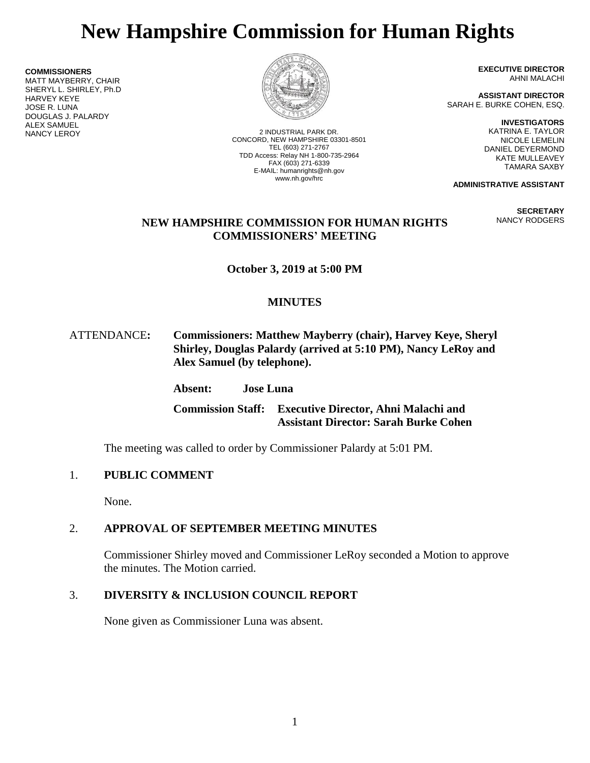# **New Hampshire Commission for Human Rights**

**COMMISSIONERS** MATT MAYBERRY, CHAIR SHERYL L. SHIRLEY, Ph.D HARVEY KEYE JOSE R. LUNA DOUGLAS J. PALARDY **ALEX SAMUEL<br>NANCY LEROY** 



2 INDUSTRIAL PARK DR. CONCORD, NEW HAMPSHIRE 03301-8501 TEL (603) 271-2767 TDD Access: Relay NH 1-800-735-2964 FAX (603) 271-6339 E-MAIL: humanrights@nh.gov www.nh.gov/hrc

**EXECUTIVE DIRECTOR** AHNI MALACHI

**ASSISTANT DIRECTOR** SARAH E. BURKE COHEN, ESQ.

> **INVESTIGATORS** KATRINA E. TAYLOR NICOLE LEMELIN DANIEL DEYERMOND KATE MULLEAVEY TAMARA SAXBY

**ADMINISTRATIVE ASSISTANT**

**SECRETARY** NANCY RODGERS

### **NEW HAMPSHIRE COMMISSION FOR HUMAN RIGHTS COMMISSIONERS' MEETING**

**October 3, 2019 at 5:00 PM**

## **MINUTES**

### ATTENDANCE**: Commissioners: Matthew Mayberry (chair), Harvey Keye, Sheryl Shirley, Douglas Palardy (arrived at 5:10 PM), Nancy LeRoy and Alex Samuel (by telephone).**

## **Absent: Jose Luna**

**Commission Staff: Executive Director, Ahni Malachi and Assistant Director: Sarah Burke Cohen**

The meeting was called to order by Commissioner Palardy at 5:01 PM.

## 1. **PUBLIC COMMENT**

None.

## 2. **APPROVAL OF SEPTEMBER MEETING MINUTES**

Commissioner Shirley moved and Commissioner LeRoy seconded a Motion to approve the minutes. The Motion carried.

## 3. **DIVERSITY & INCLUSION COUNCIL REPORT**

None given as Commissioner Luna was absent.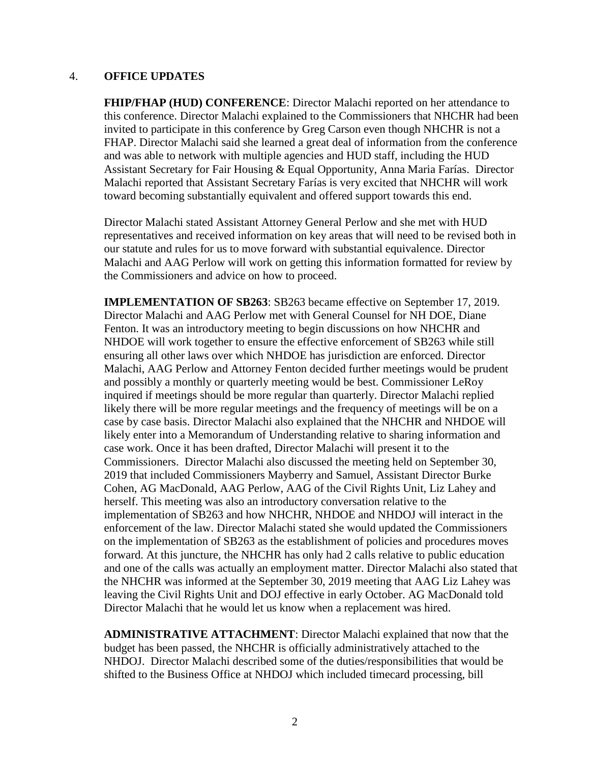#### 4. **OFFICE UPDATES**

**FHIP/FHAP (HUD) CONFERENCE**: Director Malachi reported on her attendance to this conference. Director Malachi explained to the Commissioners that NHCHR had been invited to participate in this conference by Greg Carson even though NHCHR is not a FHAP. Director Malachi said she learned a great deal of information from the conference and was able to network with multiple agencies and HUD staff, including the HUD Assistant Secretary for Fair Housing & Equal Opportunity, Anna Maria Farías. Director Malachi reported that Assistant Secretary Farías is very excited that NHCHR will work toward becoming substantially equivalent and offered support towards this end.

Director Malachi stated Assistant Attorney General Perlow and she met with HUD representatives and received information on key areas that will need to be revised both in our statute and rules for us to move forward with substantial equivalence. Director Malachi and AAG Perlow will work on getting this information formatted for review by the Commissioners and advice on how to proceed.

**IMPLEMENTATION OF SB263**: SB263 became effective on September 17, 2019. Director Malachi and AAG Perlow met with General Counsel for NH DOE, Diane Fenton. It was an introductory meeting to begin discussions on how NHCHR and NHDOE will work together to ensure the effective enforcement of SB263 while still ensuring all other laws over which NHDOE has jurisdiction are enforced. Director Malachi, AAG Perlow and Attorney Fenton decided further meetings would be prudent and possibly a monthly or quarterly meeting would be best. Commissioner LeRoy inquired if meetings should be more regular than quarterly. Director Malachi replied likely there will be more regular meetings and the frequency of meetings will be on a case by case basis. Director Malachi also explained that the NHCHR and NHDOE will likely enter into a Memorandum of Understanding relative to sharing information and case work. Once it has been drafted, Director Malachi will present it to the Commissioners. Director Malachi also discussed the meeting held on September 30, 2019 that included Commissioners Mayberry and Samuel, Assistant Director Burke Cohen, AG MacDonald, AAG Perlow, AAG of the Civil Rights Unit, Liz Lahey and herself. This meeting was also an introductory conversation relative to the implementation of SB263 and how NHCHR, NHDOE and NHDOJ will interact in the enforcement of the law. Director Malachi stated she would updated the Commissioners on the implementation of SB263 as the establishment of policies and procedures moves forward. At this juncture, the NHCHR has only had 2 calls relative to public education and one of the calls was actually an employment matter. Director Malachi also stated that the NHCHR was informed at the September 30, 2019 meeting that AAG Liz Lahey was leaving the Civil Rights Unit and DOJ effective in early October. AG MacDonald told Director Malachi that he would let us know when a replacement was hired.

**ADMINISTRATIVE ATTACHMENT**: Director Malachi explained that now that the budget has been passed, the NHCHR is officially administratively attached to the NHDOJ. Director Malachi described some of the duties/responsibilities that would be shifted to the Business Office at NHDOJ which included timecard processing, bill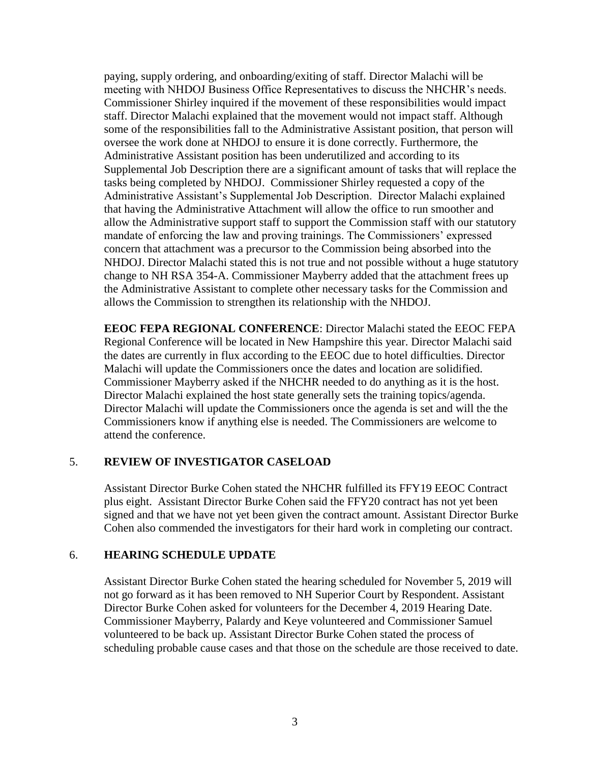paying, supply ordering, and onboarding/exiting of staff. Director Malachi will be meeting with NHDOJ Business Office Representatives to discuss the NHCHR's needs. Commissioner Shirley inquired if the movement of these responsibilities would impact staff. Director Malachi explained that the movement would not impact staff. Although some of the responsibilities fall to the Administrative Assistant position, that person will oversee the work done at NHDOJ to ensure it is done correctly. Furthermore, the Administrative Assistant position has been underutilized and according to its Supplemental Job Description there are a significant amount of tasks that will replace the tasks being completed by NHDOJ. Commissioner Shirley requested a copy of the Administrative Assistant's Supplemental Job Description. Director Malachi explained that having the Administrative Attachment will allow the office to run smoother and allow the Administrative support staff to support the Commission staff with our statutory mandate of enforcing the law and proving trainings. The Commissioners' expressed concern that attachment was a precursor to the Commission being absorbed into the NHDOJ. Director Malachi stated this is not true and not possible without a huge statutory change to NH RSA 354-A. Commissioner Mayberry added that the attachment frees up the Administrative Assistant to complete other necessary tasks for the Commission and allows the Commission to strengthen its relationship with the NHDOJ.

**EEOC FEPA REGIONAL CONFERENCE**: Director Malachi stated the EEOC FEPA Regional Conference will be located in New Hampshire this year. Director Malachi said the dates are currently in flux according to the EEOC due to hotel difficulties. Director Malachi will update the Commissioners once the dates and location are solidified. Commissioner Mayberry asked if the NHCHR needed to do anything as it is the host. Director Malachi explained the host state generally sets the training topics/agenda. Director Malachi will update the Commissioners once the agenda is set and will the the Commissioners know if anything else is needed. The Commissioners are welcome to attend the conference.

#### 5. **REVIEW OF INVESTIGATOR CASELOAD**

Assistant Director Burke Cohen stated the NHCHR fulfilled its FFY19 EEOC Contract plus eight. Assistant Director Burke Cohen said the FFY20 contract has not yet been signed and that we have not yet been given the contract amount. Assistant Director Burke Cohen also commended the investigators for their hard work in completing our contract.

#### 6. **HEARING SCHEDULE UPDATE**

Assistant Director Burke Cohen stated the hearing scheduled for November 5, 2019 will not go forward as it has been removed to NH Superior Court by Respondent. Assistant Director Burke Cohen asked for volunteers for the December 4, 2019 Hearing Date. Commissioner Mayberry, Palardy and Keye volunteered and Commissioner Samuel volunteered to be back up. Assistant Director Burke Cohen stated the process of scheduling probable cause cases and that those on the schedule are those received to date.